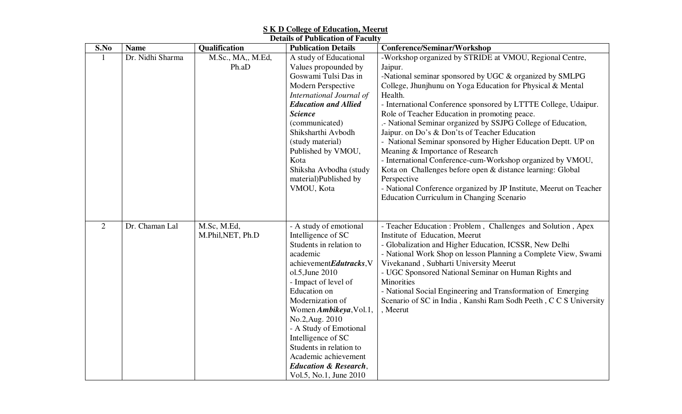|  | <b>S K D College of Education, Meerut</b> |  |  |  |  |  |
|--|-------------------------------------------|--|--|--|--|--|
|--|-------------------------------------------|--|--|--|--|--|

| <b>Details of Publication of Faculty</b> |                  |                                 |                                                                                                                                                                                                                                                                                                                                                                                                                   |                                                                                                                                                                                                                                                                                                                                                                                                                                                                                                                                                                                                                                                                                                                                                                                                                       |  |  |
|------------------------------------------|------------------|---------------------------------|-------------------------------------------------------------------------------------------------------------------------------------------------------------------------------------------------------------------------------------------------------------------------------------------------------------------------------------------------------------------------------------------------------------------|-----------------------------------------------------------------------------------------------------------------------------------------------------------------------------------------------------------------------------------------------------------------------------------------------------------------------------------------------------------------------------------------------------------------------------------------------------------------------------------------------------------------------------------------------------------------------------------------------------------------------------------------------------------------------------------------------------------------------------------------------------------------------------------------------------------------------|--|--|
| S.No                                     | <b>Name</b>      | Qualification                   | <b>Publication Details</b>                                                                                                                                                                                                                                                                                                                                                                                        | <b>Conference/Seminar/Workshop</b>                                                                                                                                                                                                                                                                                                                                                                                                                                                                                                                                                                                                                                                                                                                                                                                    |  |  |
|                                          | Dr. Nidhi Sharma | M.Sc., MA,, M.Ed,<br>Ph.aD      | A study of Educational<br>Values propounded by<br>Goswami Tulsi Das in<br>Modern Perspective<br>International Journal of<br><b>Education and Allied</b><br><b>Science</b><br>(communicated)<br>Shiksharthi Avbodh<br>(study material)<br>Published by VMOU,<br>Kota<br>Shiksha Avbodha (study<br>material)Published by<br>VMOU, Kota                                                                              | -Workshop organized by STRIDE at VMOU, Regional Centre,<br>Jaipur.<br>-National seminar sponsored by UGC & organized by SMLPG<br>College, Jhunjhunu on Yoga Education for Physical & Mental<br>Health.<br>- International Conference sponsored by LTTTE College, Udaipur.<br>Role of Teacher Education in promoting peace.<br>.- National Seminar organized by SSJPG College of Education,<br>Jaipur. on Do's & Don'ts of Teacher Education<br>- National Seminar sponsored by Higher Education Deptt. UP on<br>Meaning & Importance of Research<br>- International Conference-cum-Workshop organized by VMOU,<br>Kota on Challenges before open & distance learning: Global<br>Perspective<br>- National Conference organized by JP Institute, Meerut on Teacher<br><b>Education Curriculum in Changing Scenario</b> |  |  |
| $\overline{2}$                           | Dr. Chaman Lal   | M.Sc, M.Ed,<br>M.Phil,NET, Ph.D | - A study of emotional<br>Intelligence of SC<br>Students in relation to<br>academic<br>achievementEdutracks,V<br>ol.5, June 2010<br>- Impact of level of<br><b>Education</b> on<br>Modernization of<br>Women Ambikeya, Vol.1,<br>No.2, Aug. 2010<br>- A Study of Emotional<br>Intelligence of SC<br>Students in relation to<br>Academic achievement<br><b>Education &amp; Research,</b><br>Vol.5, No.1, June 2010 | - Teacher Education : Problem, Challenges and Solution, Apex<br>Institute of Education, Meerut<br>- Globalization and Higher Education, ICSSR, New Delhi<br>- National Work Shop on lesson Planning a Complete View, Swami<br>Vivekanand, Subharti University Meerut<br>- UGC Sponsored National Seminar on Human Rights and<br>Minorities<br>- National Social Engineering and Transformation of Emerging<br>Scenario of SC in India, Kanshi Ram Sodh Peeth, C C S University<br>, Meerut                                                                                                                                                                                                                                                                                                                            |  |  |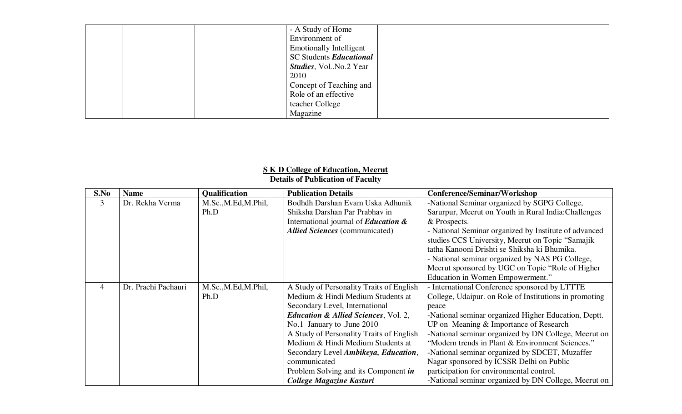|  | - A Study of Home               |  |
|--|---------------------------------|--|
|  | Environment of                  |  |
|  | <b>Emotionally Intelligent</b>  |  |
|  | SC Students Educational         |  |
|  | <i>Studies</i> , Vol. No.2 Year |  |
|  | 2010                            |  |
|  | Concept of Teaching and         |  |
|  | Role of an effective            |  |
|  | teacher College                 |  |
|  | Magazine                        |  |

## **S K D College of Education, Meerut Details of Publication of Faculty**

| S.No | <b>Name</b>         | Qualification        | <b>Publication Details</b>                      | Conference/Seminar/Workshop                            |
|------|---------------------|----------------------|-------------------------------------------------|--------------------------------------------------------|
| 3    | Dr. Rekha Verma     | M.Sc., M.Ed, M.Phil, | Bodhdh Darshan Evam Uska Adhunik                | -National Seminar organized by SGPG College,           |
|      |                     | Ph.D                 | Shiksha Darshan Par Prabhav in                  | Sarurpur, Meerut on Youth in Rural India: Challenges   |
|      |                     |                      | International journal of <b>Education &amp;</b> | & Prospects.                                           |
|      |                     |                      | <b>Allied Sciences</b> (communicated)           | - National Seminar organized by Institute of advanced  |
|      |                     |                      |                                                 | studies CCS University, Meerut on Topic "Samajik       |
|      |                     |                      |                                                 | tatha Kanooni Drishti se Shiksha ki Bhumika.           |
|      |                     |                      |                                                 | - National seminar organized by NAS PG College,        |
|      |                     |                      |                                                 | Meerut sponsored by UGC on Topic "Role of Higher       |
|      |                     |                      |                                                 | Education in Women Empowerment."                       |
| 4    | Dr. Prachi Pachauri | M.Sc., M.Ed, M.Phil, | A Study of Personality Traits of English        | - International Conference sponsored by LTTTE          |
|      |                     | Ph.D                 | Medium & Hindi Medium Students at               | College, Udaipur. on Role of Institutions in promoting |
|      |                     |                      | Secondary Level, International                  | peace                                                  |
|      |                     |                      | <b>Education &amp; Allied Sciences, Vol. 2,</b> | -National seminar organized Higher Education, Deptt.   |
|      |                     |                      | No.1 January to .June 2010                      | UP on Meaning & Importance of Research                 |
|      |                     |                      | A Study of Personality Traits of English        | -National seminar organized by DN College, Meerut on   |
|      |                     |                      | Medium & Hindi Medium Students at               | "Modern trends in Plant & Environment Sciences."       |
|      |                     |                      | Secondary Level Ambikeya, Education,            | -National seminar organized by SDCET, Muzaffer         |
|      |                     |                      | communicated                                    | Nagar sponsored by ICSSR Delhi on Public               |
|      |                     |                      | Problem Solving and its Component in            | participation for environmental control.               |
|      |                     |                      | College Magazine Kasturi                        | -National seminar organized by DN College, Meerut on   |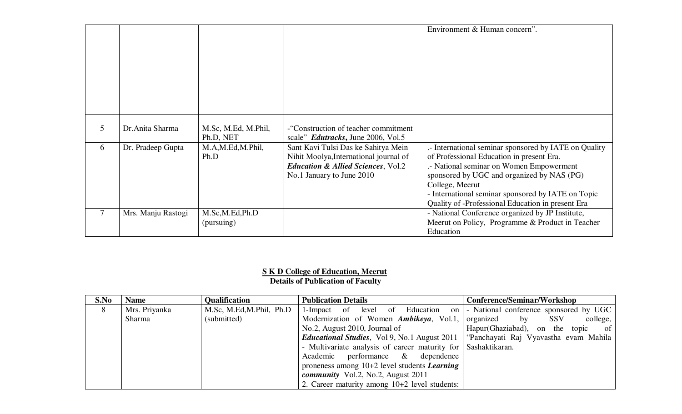|        |                    |                     |                                               | Environment & Human concern".                         |
|--------|--------------------|---------------------|-----------------------------------------------|-------------------------------------------------------|
|        |                    |                     |                                               |                                                       |
|        |                    |                     |                                               |                                                       |
|        |                    |                     |                                               |                                                       |
|        |                    |                     |                                               |                                                       |
|        |                    |                     |                                               |                                                       |
|        |                    |                     |                                               |                                                       |
|        |                    |                     |                                               |                                                       |
| 5      | Dr.Anita Sharma    | M.Sc, M.Ed, M.Phil, | -"Construction of teacher commitment          |                                                       |
|        |                    | Ph.D, NET           | scale" <i>Edutracks</i> , June 2006, Vol.5    |                                                       |
| 6      | Dr. Pradeep Gupta  | M.A,M.Ed,M.Phil,    | Sant Kavi Tulsi Das ke Sahitya Mein           | .- International seminar sponsored by IATE on Quality |
|        |                    | Ph.D                | Nihit Moolya, International journal of        | of Professional Education in present Era.             |
|        |                    |                     | <b>Education &amp; Allied Sciences, Vol.2</b> | - National seminar on Women Empowerment               |
|        |                    |                     | No.1 January to June 2010                     | sponsored by UGC and organized by NAS (PG)            |
|        |                    |                     |                                               | College, Meerut                                       |
|        |                    |                     |                                               | - International seminar sponsored by IATE on Topic    |
|        |                    |                     |                                               | Quality of -Professional Education in present Era     |
| $\tau$ | Mrs. Manju Rastogi | M.Sc,M.Ed,Ph.D      |                                               | - National Conference organized by JP Institute,      |
|        |                    | (pursuing)          |                                               | Meerut on Policy, Programme & Product in Teacher      |
|        |                    |                     |                                               | Education                                             |

## **S K D College of Education, Meerut Details of Publication of Faculty**

| S.No | <b>Name</b>   | <b>Qualification</b>             | <b>Publication Details</b>                                               | <b>Conference/Seminar/Workshop</b>    |
|------|---------------|----------------------------------|--------------------------------------------------------------------------|---------------------------------------|
| 8    | Mrs. Priyanka | M.Sc, M.Ed, M.Phil, Ph.D $\vert$ | 1-Impact of level of Education on - National conference sponsored by UGC |                                       |
|      | Sharma        | (submitted)                      | Modernization of Women Ambikeya, Vol.1,                                  | organized by SSV<br>college,          |
|      |               |                                  | No.2, August 2010, Journal of                                            | Hapur(Ghaziabad), on the topic of     |
|      |               |                                  | <i>Educational Studies, Vol 9, No.1 August 2011</i>                      | "Panchayati Raj Vyavastha evam Mahila |
|      |               |                                  | - Multivariate analysis of career maturity for Sashaktikaran.            |                                       |
|      |               |                                  | Academic performance & dependence                                        |                                       |
|      |               |                                  | proneness among $10+2$ level students <i>Learning</i>                    |                                       |
|      |               |                                  | <i>community</i> Vol.2, No.2, August 2011                                |                                       |
|      |               |                                  | 2. Career maturity among $10+2$ level students:                          |                                       |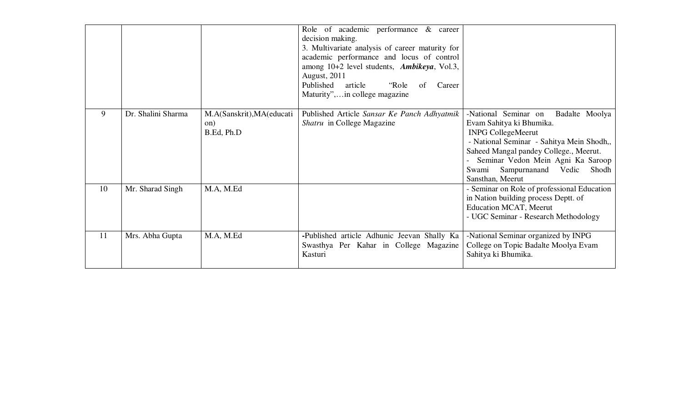|    |                    |                                                | Role of academic performance & career<br>decision making.<br>3. Multivariate analysis of career maturity for<br>academic performance and locus of control<br>among 10+2 level students, Ambikeya, Vol.3,<br><b>August</b> , 2011<br>Published article<br>"Role<br>of<br>Career<br>Maturity", in college magazine |                                                                                                                                                                                                                                                                                      |
|----|--------------------|------------------------------------------------|------------------------------------------------------------------------------------------------------------------------------------------------------------------------------------------------------------------------------------------------------------------------------------------------------------------|--------------------------------------------------------------------------------------------------------------------------------------------------------------------------------------------------------------------------------------------------------------------------------------|
| 9  | Dr. Shalini Sharma | M.A(Sanskrit), MA(educati<br>on)<br>B.Ed, Ph.D | Published Article Sansar Ke Panch Adhyatmik<br><i>Shatru</i> in College Magazine                                                                                                                                                                                                                                 | -National Seminar on<br>Badalte Moolya<br>Evam Sahitya ki Bhumika.<br><b>INPG CollegeMeerut</b><br>- National Seminar - Sahitya Mein Shodh,,<br>Saheed Mangal pandey College., Meerut.<br>Seminar Vedon Mein Agni Ka Saroop<br>Swami Sampurnanand Vedic<br>Shodh<br>Sansthan, Meerut |
| 10 | Mr. Sharad Singh   | M.A, M.Ed                                      |                                                                                                                                                                                                                                                                                                                  | - Seminar on Role of professional Education<br>in Nation building process Deptt. of<br><b>Education MCAT</b> , Meerut<br>- UGC Seminar - Research Methodology                                                                                                                        |
| 11 | Mrs. Abha Gupta    | M.A, M.Ed                                      | -Published article Adhunic Jeevan Shally Ka<br>Swasthya Per Kahar in College Magazine<br>Kasturi                                                                                                                                                                                                                 | -National Seminar organized by INPG<br>College on Topic Badalte Moolya Evam<br>Sahitya ki Bhumika.                                                                                                                                                                                   |